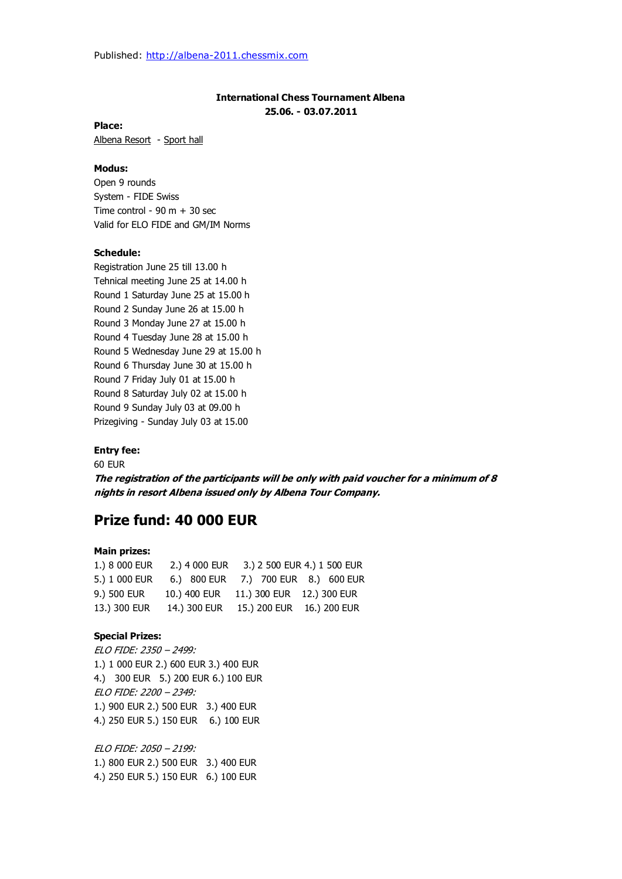# **International Chess Tournament Albena 25.06. - 03.07.2011**

**Place:**

Albena Resort - Sport hall

### **Modus:**

Open 9 rounds System - FIDE Swiss Time control -  $90 \text{ m} + 30 \text{ sec}$ Valid for ELO FIDE and GM/IM Norms

## **Schedule:**

Registration June 25 till 13.00 h Tehnical meeting June 25 at 14.00 h Round 1 Saturday June 25 at 15.00 h Round 2 Sunday June 26 at 15.00 h Round 3 Monday June 27 at 15.00 h Round 4 Tuesday June 28 at 15.00 h Round 5 Wednesday June 29 at 15.00 h Round 6 Thursday June 30 at 15.00 h Round 7 Friday July 01 at 15.00 h Round 8 Saturday July 02 at 15.00 h Round 9 Sunday July 03 at 09.00 h Prizegiving - Sunday July 03 at 15.00

#### **Entry fee:**

60 EUR

**The registration of the participants will be only with paid voucher for a minimum of 8 nights in resort Albena issued only by Albena Tour Company.**

# **Prize fund: 40 000 EUR**

#### **Main prizes:**

| 1.) 8 000 EUR | 2.) 4 000 EUR |                            | 3.) 2 500 EUR 4.) 1 500 EUR         |
|---------------|---------------|----------------------------|-------------------------------------|
| 5.) 1 000 EUR |               |                            | 6.) 800 EUR 7.) 700 EUR 8.) 600 EUR |
| 9.) 500 EUR   | 10.) 400 EUR  | 11.) 300 EUR  12.) 300 EUR |                                     |
| 13.) 300 EUR  | 14.) 300 EUR  | 15.) 200 EUR  16.) 200 EUR |                                     |

#### **Special Prizes:**

ELO FIDE: 2350 – 2499: 1.) 1 000 EUR 2.) 600 EUR 3.) 400 EUR 4.) 300 EUR 5.) 200 EUR 6.) 100 EUR ELO FIDE: 2200 – 2349: 1.) 900 EUR 2.) 500 EUR 3.) 400 EUR 4.) 250 EUR 5.) 150 EUR 6.) 100 EUR

ELO FIDE: 2050 – 2199: 1.) 800 EUR 2.) 500 EUR 3.) 400 EUR 4.) 250 EUR 5.) 150 EUR 6.) 100 EUR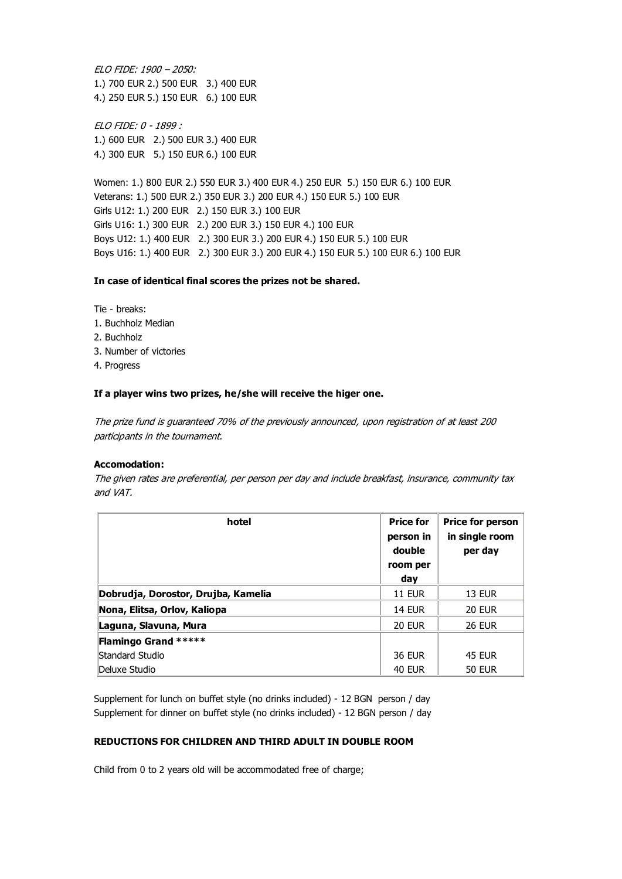ELO FIDE: 1900 – 2050: 1.) 700 EUR 2.) 500 EUR 3.) 400 EUR 4.) 250 EUR 5.) 150 EUR 6.) 100 EUR

ELO FIDE: 0 - 1899 : 1.) 600 EUR 2.) 500 EUR 3.) 400 EUR 4.) 300 EUR 5.) 150 EUR 6.) 100 EUR

Women: 1.) 800 EUR 2.) 550 EUR 3.) 400 EUR 4.) 250 EUR 5.) 150 EUR 6.) 100 EUR Veterans: 1.) 500 EUR 2.) 350 EUR 3.) 200 EUR 4.) 150 EUR 5.) 100 EUR Girls U12: 1.) 200 EUR 2.) 150 EUR 3.) 100 EUR Girls U16: 1.) 300 EUR 2.) 200 EUR 3.) 150 EUR 4.) 100 EUR Boys U12: 1.) 400 EUR 2.) 300 EUR 3.) 200 EUR 4.) 150 EUR 5.) 100 EUR Boys U16: 1.) 400 EUR 2.) 300 EUR 3.) 200 EUR 4.) 150 EUR 5.) 100 EUR 6.) 100 EUR

#### **In case of identical final scores the prizes not be shared.**

Tie - breaks: 1. Buchholz Median

- 2. Buchholz
- 3. Number of victories
- 4. Progress

#### **If a player wins two prizes, he/she will receive the higer one.**

The prize fund is guaranteed 70% of the previously announced, upon registration of at least 200 participants in the tournament.

#### **Accomodation:**

The given rates are preferential, per person per day and include breakfast, insurance, community tax and VAT.

| hotel                               | <b>Price for</b><br>person in<br>double | <b>Price for person</b><br>in single room<br>per day |
|-------------------------------------|-----------------------------------------|------------------------------------------------------|
|                                     | room per                                |                                                      |
|                                     | day                                     |                                                      |
| Dobrudja, Dorostor, Drujba, Kamelia | <b>11 EUR</b>                           | <b>13 EUR</b>                                        |
| Nona, Elitsa, Orlov, Kaliopa        | <b>14 EUR</b>                           | <b>20 EUR</b>                                        |
| Laguna, Slavuna, Mura               | <b>20 EUR</b>                           | <b>26 EUR</b>                                        |
| <b>Flamingo Grand *****</b>         |                                         |                                                      |
| Standard Studio                     | <b>36 EUR</b>                           | <b>45 EUR</b>                                        |
| Deluxe Studio                       | <b>40 EUR</b>                           | <b>50 EUR</b>                                        |

Supplement for lunch on buffet style (no drinks included) - 12 BGN person / day Supplement for dinner on buffet style (no drinks included) - 12 BGN person / day

#### **REDUCTIONS FOR CHILDREN AND THIRD ADULT IN DOUBLE ROOM**

Child from 0 to 2 years old will be accommodated free of charge;